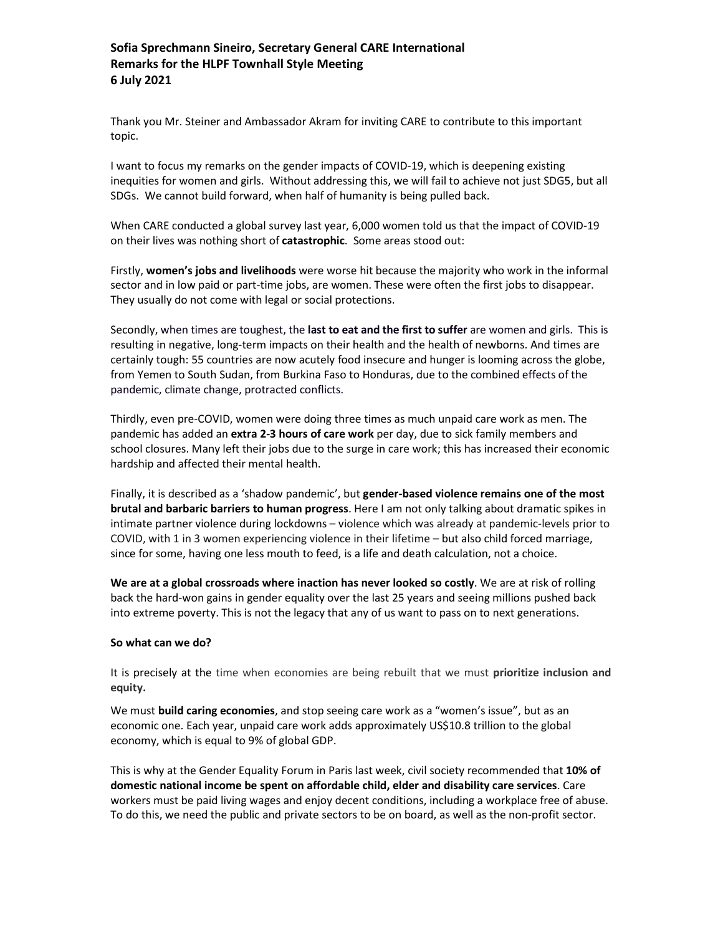## **Sofia Sprechmann Sineiro, Secretary General CARE International Remarks for the HLPF Townhall Style Meeting 6 July 2021**

Thank you Mr. Steiner and Ambassador Akram for inviting CARE to contribute to this important topic.

I want to focus my remarks on the gender impacts of COVID-19, which is deepening existing inequities for women and girls. Without addressing this, we will fail to achieve not just SDG5, but all SDGs. We cannot build forward, when half of humanity is being pulled back.

When CARE conducted a global survey last year, 6,000 women told us that the impact of COVID-19 on their lives was nothing short of **catastrophic**. Some areas stood out:

Firstly, **women's jobs and livelihoods** were worse hit because the majority who work in the informal sector and in low paid or part-time jobs, are women. These were often the first jobs to disappear. They usually do not come with legal or social protections.

Secondly, when times are toughest, the **last to eat and the first to suffer** are women and girls. This is resulting in negative, long-term impacts on their health and the health of newborns. And times are certainly tough: 55 countries are now acutely food insecure and hunger is looming across the globe, from Yemen to South Sudan, from Burkina Faso to Honduras, due to the combined effects of the pandemic, climate change, protracted conflicts.

Thirdly, even pre-COVID, women were doing three times as much unpaid care work as men. The pandemic has added an **extra 2-3 hours of care work** per day, due to sick family members and school closures. Many left their jobs due to the surge in care work; this has increased their economic hardship and affected their mental health.

Finally, it is described as a 'shadow pandemic', but **gender-based violence remains one of the most brutal and barbaric barriers to human progress**. Here I am not only talking about dramatic spikes in intimate partner violence during lockdowns – violence which was already at pandemic-levels prior to COVID, with 1 in 3 women experiencing violence in their lifetime – but also child forced marriage, since for some, having one less mouth to feed, is a life and death calculation, not a choice.

**We are at a global crossroads where inaction has never looked so costly**. We are at risk of rolling back the hard-won gains in gender equality over the last 25 years and seeing millions pushed back into extreme poverty. This is not the legacy that any of us want to pass on to next generations.

## **So what can we do?**

It is precisely at the time when economies are being rebuilt that we must **prioritize inclusion and equity.**

We must **build caring economies**, and stop seeing care work as a "women's issue", but as an economic one. Each year, unpaid care work adds approximately US\$10.8 trillion to the global economy, which is equal to 9% of global GDP.

This is why at the Gender Equality Forum in Paris last week, civil society recommended that **10% of domestic national income be spent on affordable child, elder and disability care services**. Care workers must be paid living wages and enjoy decent conditions, including a workplace free of abuse. To do this, we need the public and private sectors to be on board, as well as the non-profit sector.